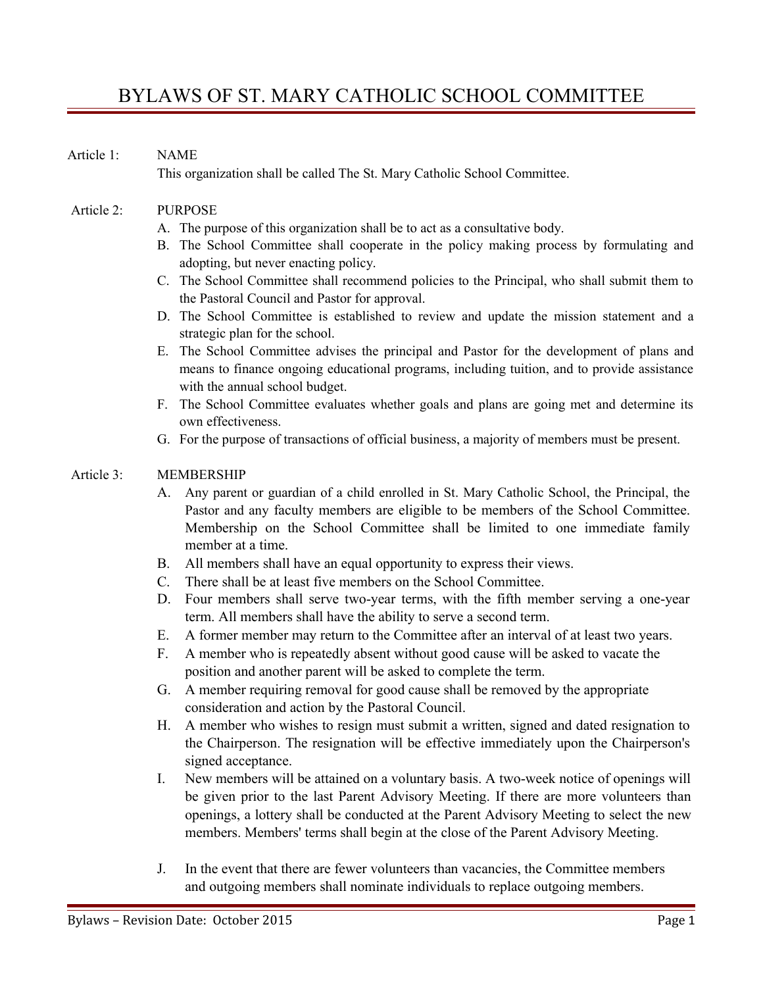# BYLAWS OF ST. MARY CATHOLIC SCHOOL COMMITTEE

#### Article 1: NAME

This organization shall be called The St. Mary Catholic School Committee.

#### Article 2: PURPOSE

- A. The purpose of this organization shall be to act as a consultative body.
- B. The School Committee shall cooperate in the policy making process by formulating and adopting, but never enacting policy.
- C. The School Committee shall recommend policies to the Principal, who shall submit them to the Pastoral Council and Pastor for approval.
- D. The School Committee is established to review and update the mission statement and a strategic plan for the school.
- E. The School Committee advises the principal and Pastor for the development of plans and means to finance ongoing educational programs, including tuition, and to provide assistance with the annual school budget.
- F. The School Committee evaluates whether goals and plans are going met and determine its own effectiveness.
- G. For the purpose of transactions of official business, a majority of members must be present.

#### Article 3: MEMBERSHIP

- A. Any parent or guardian of a child enrolled in St. Mary Catholic School, the Principal, the Pastor and any faculty members are eligible to be members of the School Committee. Membership on the School Committee shall be limited to one immediate family member at a time.
- B. All members shall have an equal opportunity to express their views.
- C. There shall be at least five members on the School Committee.
- D. Four members shall serve two-year terms, with the fifth member serving a one-year term. All members shall have the ability to serve a second term.
- E. A former member may return to the Committee after an interval of at least two years.
- F. A member who is repeatedly absent without good cause will be asked to vacate the position and another parent will be asked to complete the term.
- G. A member requiring removal for good cause shall be removed by the appropriate consideration and action by the Pastoral Council.
- H. A member who wishes to resign must submit a written, signed and dated resignation to the Chairperson. The resignation will be effective immediately upon the Chairperson's signed acceptance.
- I. New members will be attained on a voluntary basis. A two-week notice of openings will be given prior to the last Parent Advisory Meeting. If there are more volunteers than openings, a lottery shall be conducted at the Parent Advisory Meeting to select the new members. Members' terms shall begin at the close of the Parent Advisory Meeting.
- J. In the event that there are fewer volunteers than vacancies, the Committee members and outgoing members shall nominate individuals to replace outgoing members.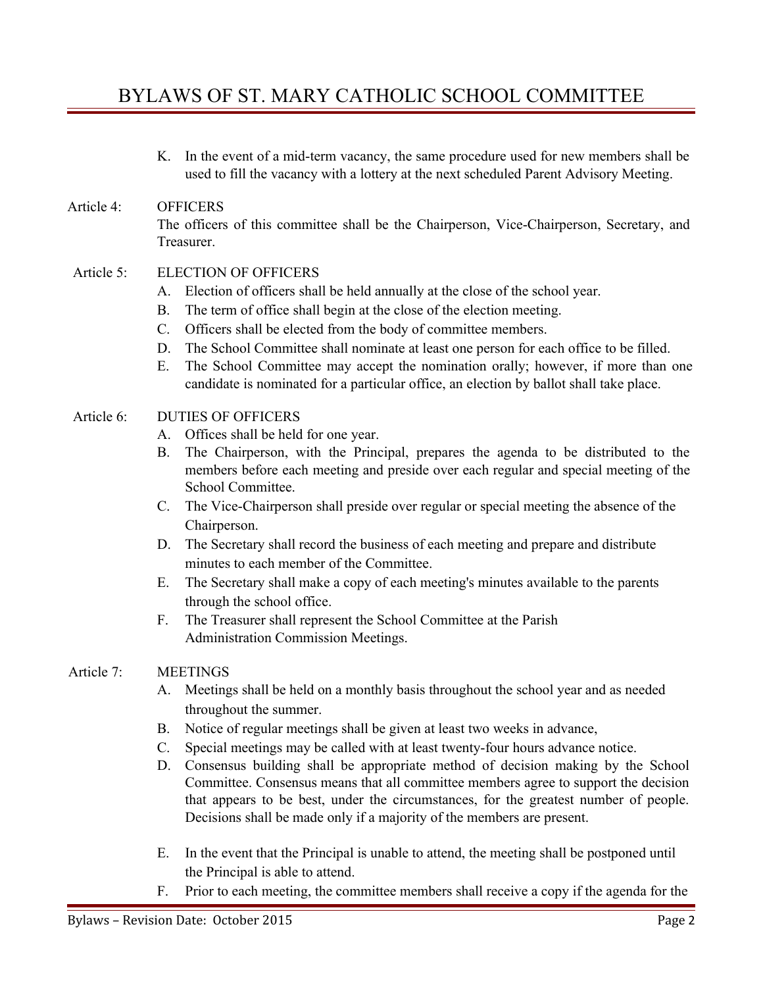# BYLAWS OF ST. MARY CATHOLIC SCHOOL COMMITTEE

K. In the event of a mid-term vacancy, the same procedure used for new members shall be used to fill the vacancy with a lottery at the next scheduled Parent Advisory Meeting.

## Article 4: OFFICERS The officers of this committee shall be the Chairperson, Vice-Chairperson, Secretary, and Treasurer.

### Article 5: ELECTION OF OFFICERS

- A. Election of officers shall be held annually at the close of the school year.
- B. The term of office shall begin at the close of the election meeting.
- C. Officers shall be elected from the body of committee members.
- D. The School Committee shall nominate at least one person for each office to be filled.
- E. The School Committee may accept the nomination orally; however, if more than one candidate is nominated for a particular office, an election by ballot shall take place.

### Article 6: DUTIES OF OFFICERS

- A. Offices shall be held for one year.
- B. The Chairperson, with the Principal, prepares the agenda to be distributed to the members before each meeting and preside over each regular and special meeting of the School Committee.
- C. The Vice-Chairperson shall preside over regular or special meeting the absence of the Chairperson.
- D. The Secretary shall record the business of each meeting and prepare and distribute minutes to each member of the Committee.
- E. The Secretary shall make a copy of each meeting's minutes available to the parents through the school office.
- F. The Treasurer shall represent the School Committee at the Parish Administration Commission Meetings.

### Article 7: MEETINGS

- A. Meetings shall be held on a monthly basis throughout the school year and as needed throughout the summer.
- B. Notice of regular meetings shall be given at least two weeks in advance,
- C. Special meetings may be called with at least twenty-four hours advance notice.
- D. Consensus building shall be appropriate method of decision making by the School Committee. Consensus means that all committee members agree to support the decision that appears to be best, under the circumstances, for the greatest number of people. Decisions shall be made only if a majority of the members are present.
- E. In the event that the Principal is unable to attend, the meeting shall be postponed until the Principal is able to attend.
- F. Prior to each meeting, the committee members shall receive a copy if the agenda for the